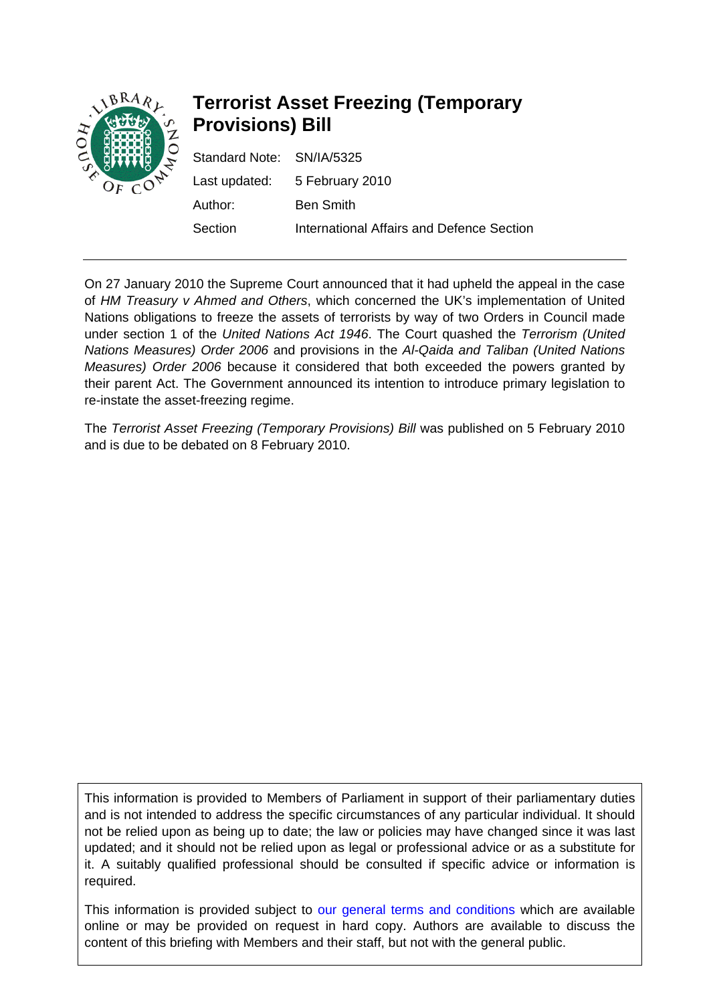

# **Terrorist Asset Freezing (Temporary Provisions) Bill**

| Standard Note: SN/IA/5325 |                                           |
|---------------------------|-------------------------------------------|
|                           | Last updated: 5 February 2010             |
| Author:                   | <b>Ben Smith</b>                          |
| Section                   | International Affairs and Defence Section |

On 27 January 2010 the Supreme Court announced that it had upheld the appeal in the case of *HM Treasury v Ahmed and Others*, which concerned the UK's implementation of United Nations obligations to freeze the assets of terrorists by way of two Orders in Council made under section 1 of the *United Nations Act 1946*. The Court quashed the *Terrorism (United Nations Measures) Order 2006* and provisions in the *Al-Qaida and Taliban (United Nations Measures) Order 2006* because it considered that both exceeded the powers granted by their parent Act. The Government announced its intention to introduce primary legislation to re-instate the asset-freezing regime.

The *Terrorist Asset Freezing (Temporary Provisions) Bill* was published on 5 February 2010 and is due to be debated on 8 February 2010.

This information is provided to Members of Parliament in support of their parliamentary duties and is not intended to address the specific circumstances of any particular individual. It should not be relied upon as being up to date; the law or policies may have changed since it was last updated; and it should not be relied upon as legal or professional advice or as a substitute for it. A suitably qualified professional should be consulted if specific advice or information is required.

This information is provided subject to [our general terms and conditions](http://www.parliament.uk/site_information/parliamentary_copyright.cfm) which are available online or may be provided on request in hard copy. Authors are available to discuss the content of this briefing with Members and their staff, but not with the general public.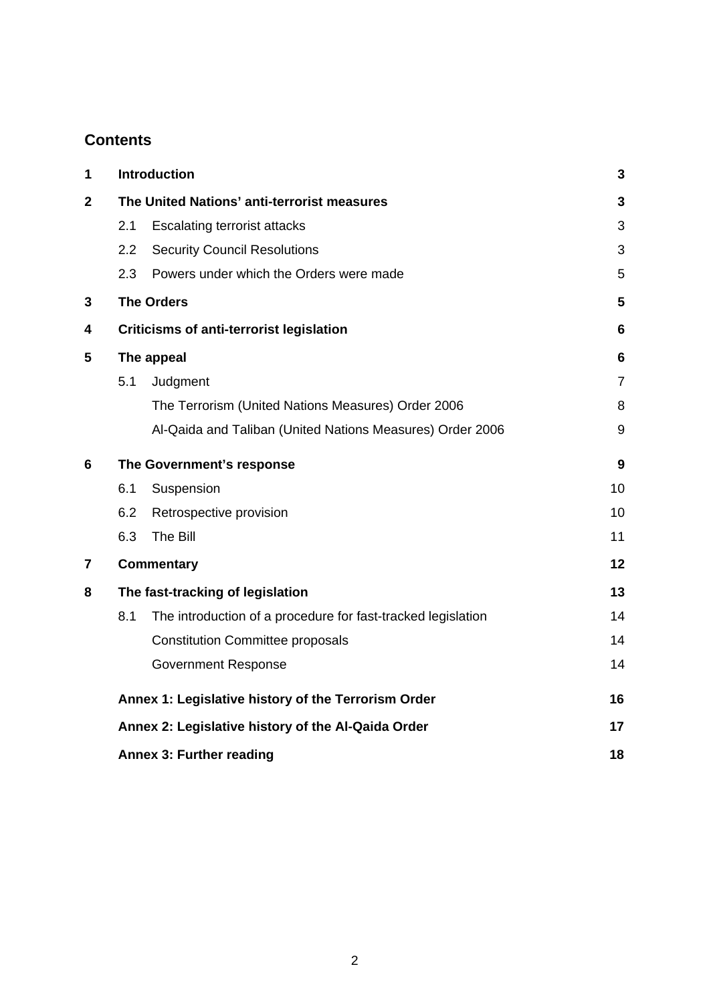## **Contents**

| 1 |                                                     | <b>Introduction</b>                                          | 3               |
|---|-----------------------------------------------------|--------------------------------------------------------------|-----------------|
| 2 | The United Nations' anti-terrorist measures         |                                                              | 3               |
|   | 2.1                                                 | <b>Escalating terrorist attacks</b>                          | 3               |
|   | 2.2                                                 | <b>Security Council Resolutions</b>                          | 3               |
|   | 2.3                                                 | Powers under which the Orders were made                      | 5               |
| 3 |                                                     | <b>The Orders</b>                                            | 5               |
| 4 |                                                     | <b>Criticisms of anti-terrorist legislation</b>              | 6               |
| 5 | The appeal                                          |                                                              | $6\phantom{1}6$ |
|   | 5.1                                                 | Judgment                                                     | $\overline{7}$  |
|   |                                                     | The Terrorism (United Nations Measures) Order 2006           | 8               |
|   |                                                     | Al-Qaida and Taliban (United Nations Measures) Order 2006    | 9               |
| 6 | The Government's response                           |                                                              | 9               |
|   | 6.1                                                 | Suspension                                                   | 10              |
|   | 6.2                                                 | Retrospective provision                                      | 10              |
|   | 6.3                                                 | The Bill                                                     | 11              |
| 7 |                                                     | <b>Commentary</b>                                            | 12              |
| 8 | The fast-tracking of legislation                    |                                                              | 13              |
|   | 8.1                                                 | The introduction of a procedure for fast-tracked legislation | 14              |
|   |                                                     | <b>Constitution Committee proposals</b>                      | 14              |
|   |                                                     | <b>Government Response</b>                                   | 14              |
|   | Annex 1: Legislative history of the Terrorism Order |                                                              | 16              |
|   | Annex 2: Legislative history of the Al-Qaida Order  |                                                              | 17              |
|   |                                                     | <b>Annex 3: Further reading</b>                              | 18              |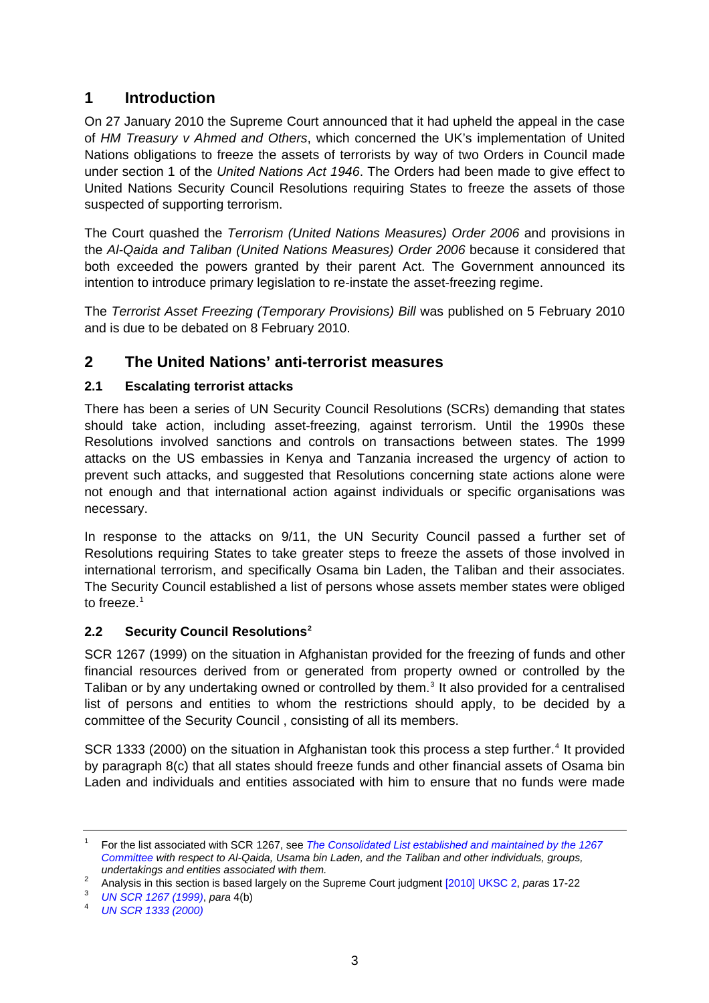## <span id="page-2-0"></span>**1 Introduction**

On 27 January 2010 the Supreme Court announced that it had upheld the appeal in the case of *HM Treasury v Ahmed and Others*, which concerned the UK's implementation of United Nations obligations to freeze the assets of terrorists by way of two Orders in Council made under section 1 of the *United Nations Act 1946*. The Orders had been made to give effect to United Nations Security Council Resolutions requiring States to freeze the assets of those suspected of supporting terrorism.

The Court quashed the *Terrorism (United Nations Measures) Order 2006* and provisions in the *Al-Qaida and Taliban (United Nations Measures) Order 2006* because it considered that both exceeded the powers granted by their parent Act. The Government announced its intention to introduce primary legislation to re-instate the asset-freezing regime.

The *Terrorist Asset Freezing (Temporary Provisions) Bill* was published on 5 February 2010 and is due to be debated on 8 February 2010.

## **2 The United Nations' anti-terrorist measures**

#### **2.1 Escalating terrorist attacks**

There has been a series of UN Security Council Resolutions (SCRs) demanding that states should take action, including asset-freezing, against terrorism. Until the 1990s these Resolutions involved sanctions and controls on transactions between states. The 1999 attacks on the US embassies in Kenya and Tanzania increased the urgency of action to prevent such attacks, and suggested that Resolutions concerning state actions alone were not enough and that international action against individuals or specific organisations was necessary.

In response to the attacks on 9/11, the UN Security Council passed a further set of Resolutions requiring States to take greater steps to freeze the assets of those involved in international terrorism, and specifically Osama bin Laden, the Taliban and their associates. The Security Council established a list of persons whose assets member states were obliged to freeze.<sup>[1](#page-2-1)</sup>

#### **2.2 Security Council Resolutions[2](#page-2-2)**

SCR 1267 (1999) on the situation in Afghanistan provided for the freezing of funds and other financial resources derived from or generated from property owned or controlled by the Taliban or by any undertaking owned or controlled by them.<sup>[3](#page-2-3)</sup> It also provided for a centralised list of persons and entities to whom the restrictions should apply, to be decided by a committee of the Security Council , consisting of all its members.

SCR 1333 (2000) on the situation in Afghanistan took this process a step further.<sup>[4](#page-2-4)</sup> It provided by paragraph 8(c) that all states should freeze funds and other financial assets of Osama bin Laden and individuals and entities associated with him to ensure that no funds were made

<span id="page-2-1"></span><sup>1</sup> For the list associated with SCR 1267, see *[The Consolidated List established and maintained by the 1267](http://www.un.org/sc/committees/1267/consolist.shtml)  [Committee](http://www.un.org/sc/committees/1267/consolist.shtml) with respect to Al-Qaida, Usama bin Laden, and the Taliban and other individuals, groups, undertakings and entities associated with them.* 

<span id="page-2-2"></span><sup>&</sup>lt;sup>2</sup> Analysis in this section is based largely on the Supreme Court judgment [2010] UKSC 2, *para*s 17-22<br><sup>3</sup> LIN SCR 1267 (1000), para 4(b)

*UN SCR 1267 (1999)*, *para* 4(b) 4

<span id="page-2-4"></span><span id="page-2-3"></span>*[UN SCR 1333 \(2000\)](http://daccess-dds-ny.un.org/doc/UNDOC/GEN/N00/806/62/PDF/N0080662.pdf?OpenElement)*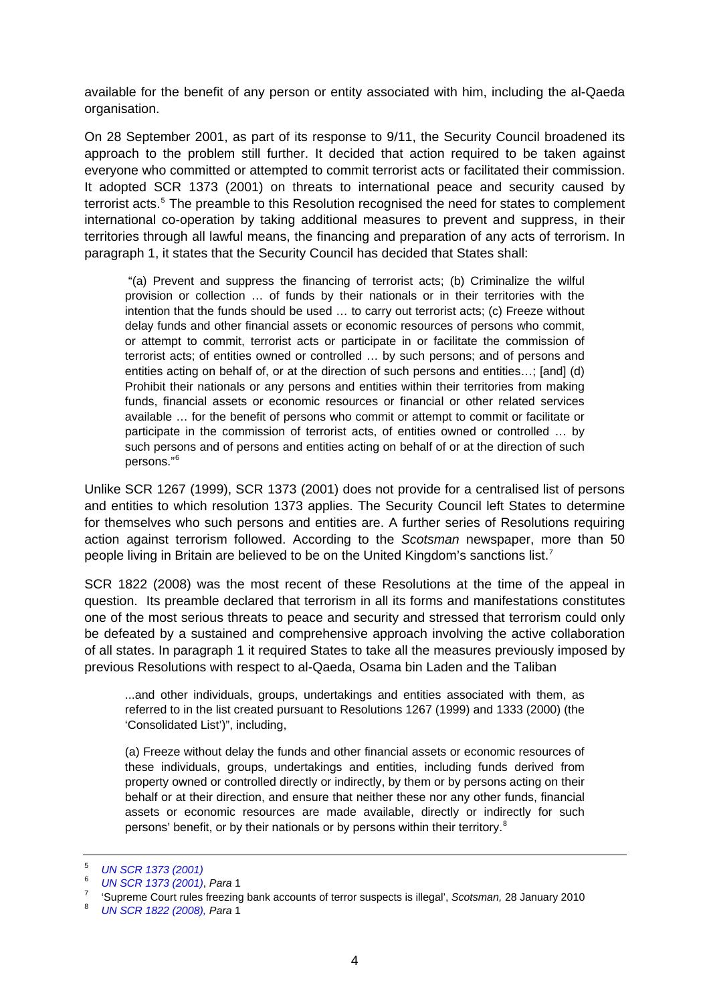available for the benefit of any person or entity associated with him, including the al-Qaeda organisation.

On 28 September 2001, as part of its response to 9/11, the Security Council broadened its approach to the problem still further. It decided that action required to be taken against everyone who committed or attempted to commit terrorist acts or facilitated their commission. It adopted SCR 1373 (2001) on threats to international peace and security caused by terrorist acts.<sup>[5](#page-3-0)</sup> The preamble to this Resolution recognised the need for states to complement international co-operation by taking additional measures to prevent and suppress, in their territories through all lawful means, the financing and preparation of any acts of terrorism. In paragraph 1, it states that the Security Council has decided that States shall:

 "(a) Prevent and suppress the financing of terrorist acts; (b) Criminalize the wilful provision or collection … of funds by their nationals or in their territories with the intention that the funds should be used … to carry out terrorist acts; (c) Freeze without delay funds and other financial assets or economic resources of persons who commit, or attempt to commit, terrorist acts or participate in or facilitate the commission of terrorist acts; of entities owned or controlled … by such persons; and of persons and entities acting on behalf of, or at the direction of such persons and entities…; [and] (d) Prohibit their nationals or any persons and entities within their territories from making funds, financial assets or economic resources or financial or other related services available … for the benefit of persons who commit or attempt to commit or facilitate or participate in the commission of terrorist acts, of entities owned or controlled … by such persons and of persons and entities acting on behalf of or at the direction of such persons."[6](#page-3-1)

Unlike SCR 1267 (1999), SCR 1373 (2001) does not provide for a centralised list of persons and entities to which resolution 1373 applies. The Security Council left States to determine for themselves who such persons and entities are. A further series of Resolutions requiring action against terrorism followed. According to the *Scotsman* newspaper, more than 50 people living in Britain are believed to be on the United Kingdom's sanctions list.<sup>[7](#page-3-2)</sup>

SCR 1822 (2008) was the most recent of these Resolutions at the time of the appeal in question. Its preamble declared that terrorism in all its forms and manifestations constitutes one of the most serious threats to peace and security and stressed that terrorism could only be defeated by a sustained and comprehensive approach involving the active collaboration of all states. In paragraph 1 it required States to take all the measures previously imposed by previous Resolutions with respect to al-Qaeda, Osama bin Laden and the Taliban

...and other individuals, groups, undertakings and entities associated with them, as referred to in the list created pursuant to Resolutions 1267 (1999) and 1333 (2000) (the 'Consolidated List')", including,

(a) Freeze without delay the funds and other financial assets or economic resources of these individuals, groups, undertakings and entities, including funds derived from property owned or controlled directly or indirectly, by them or by persons acting on their behalf or at their direction, and ensure that neither these nor any other funds, financial assets or economic resources are made available, directly or indirectly for such persons' benefit, or by their nationals or by persons within their territory.<sup>[8](#page-3-3)</sup>

<span id="page-3-0"></span><sup>5</sup> *[UN SCR 1373 \(2001\)](http://daccess-dds-ny.un.org/doc/UNDOC/GEN/N01/557/43/PDF/N0155743.pdf?OpenElement)*

<span id="page-3-1"></span><sup>6</sup> *UN SCR 1373 (2001)*, *Para* 1

<span id="page-3-2"></span> <sup>&#</sup>x27;Supreme Court rules freezing bank accounts of terror suspects is illegal', *Scotsman,* 28 January 2010 8

<span id="page-3-3"></span>*[UN SCR 1822 \(2008\),](http://daccess-dds-ny.un.org/doc/UNDOC/GEN/N08/404/90/PDF/N0840490.pdf?OpenElement) Para* 1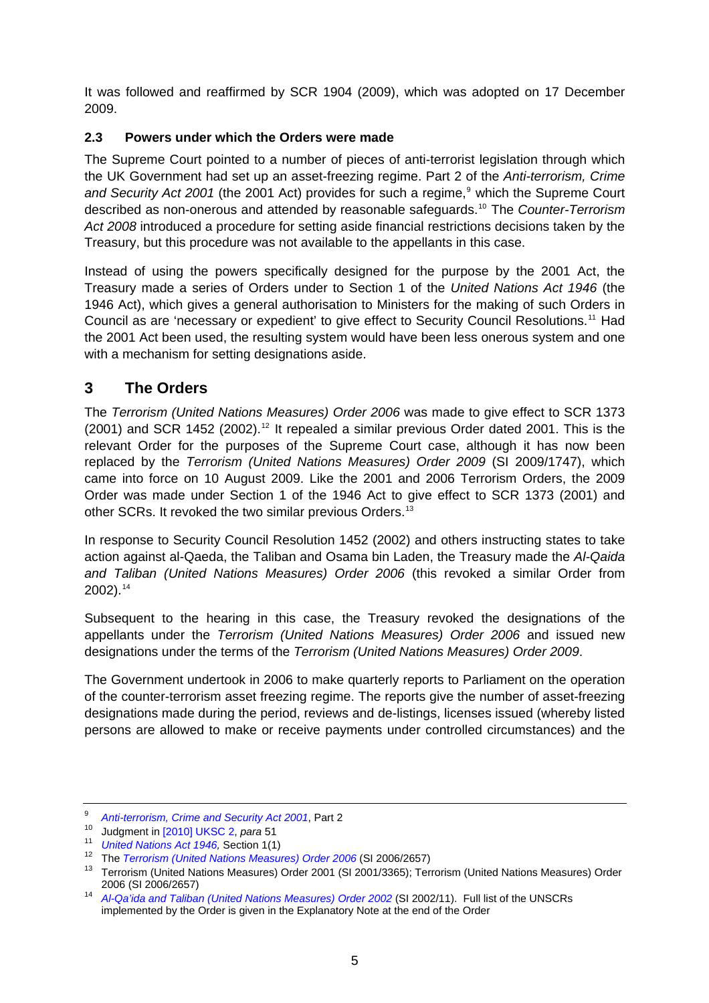<span id="page-4-0"></span>It was followed and reaffirmed by SCR 1904 (2009), which was adopted on 17 December 2009.

## **2.3 Powers under which the Orders were made**

The Supreme Court pointed to a number of pieces of anti-terrorist legislation through which the UK Government had set up an asset-freezing regime. Part 2 of the *Anti-terrorism, Crime*  and Security Act 2001 (the 2001 Act) provides for such a regime,<sup>[9](#page-4-1)</sup> which the Supreme Court described as non-onerous and attended by reasonable safeguards.[10](#page-4-2) The *Counter-Terrorism Act 2008* introduced a procedure for setting aside financial restrictions decisions taken by the Treasury, but this procedure was not available to the appellants in this case.

Instead of using the powers specifically designed for the purpose by the 2001 Act, the Treasury made a series of Orders under to Section 1 of the *United Nations Act 1946* (the 1946 Act), which gives a general authorisation to Ministers for the making of such Orders in Council as are 'necessary or expedient' to give effect to Security Council Resolutions.[11](#page-4-3) Had the 2001 Act been used, the resulting system would have been less onerous system and one with a mechanism for setting designations aside.

## **3 The Orders**

The *Terrorism (United Nations Measures) Order 2006* was made to give effect to SCR 1373  $(2001)$  and SCR 1452  $(2002)$ .<sup>[12](#page-4-4)</sup> It repealed a similar previous Order dated 2001. This is the relevant Order for the purposes of the Supreme Court case, although it has now been replaced by the *Terrorism (United Nations Measures) Order 2009* (SI 2009/1747), which came into force on 10 August 2009. Like the 2001 and 2006 Terrorism Orders, the 2009 Order was made under Section 1 of the 1946 Act to give effect to SCR 1373 (2001) and other SCRs. It revoked the two similar previous Orders.[13](#page-4-5)

In response to Security Council Resolution 1452 (2002) and others instructing states to take action against al-Qaeda, the Taliban and Osama bin Laden, the Treasury made the *Al-Qaida and Taliban (United Nations Measures) Order 2006* (this revoked a similar Order from  $2002$ ).<sup>[14](#page-4-6)</sup>

Subsequent to the hearing in this case, the Treasury revoked the designations of the appellants under the *Terrorism (United Nations Measures) Order 2006* and issued new designations under the terms of the *Terrorism (United Nations Measures) Order 2009*.

The Government undertook in 2006 to make quarterly reports to Parliament on the operation of the counter-terrorism asset freezing regime. The reports give the number of asset-freezing designations made during the period, reviews and de-listings, licenses issued (whereby listed persons are allowed to make or receive payments under controlled circumstances) and the

<sup>9</sup>

<span id="page-4-3"></span>

<span id="page-4-4"></span>

<span id="page-4-2"></span><span id="page-4-1"></span><sup>&</sup>lt;sup>9</sup> Anti-terrorism[,](http://www.opsi.gov.uk/Acts/acts2001/ukpga_20010024_en_2#pt1-l1g2) Crime and Security Act 2001, Part 2<br>
<sup>10</sup> Judgment in [\[2010\] UKSC 2,](http://www.supremecourt.gov.uk/docs/uksc_2009_0016_judgment.pdf) *para* 51<br>
<sup>11</sup> United Nations Act 1946, Section 1(1)<br>
<sup>12</sup> The Terrorism (United Nations Measures) Order 2006 (SI 2006/2657)<br>
<sup>13</sup> T

<span id="page-4-6"></span><span id="page-4-5"></span><sup>2006 (</sup>SI 2006/2657) 14 *[Al-Qa'ida and Taliban \(United Nations Measures\) Order 2002](http://www.opsi.gov.uk/si/si2006/20062952.htm)* (SI 2002/11). Full list of the UNSCRs implemented by the Order is given in the Explanatory Note at the end of the Order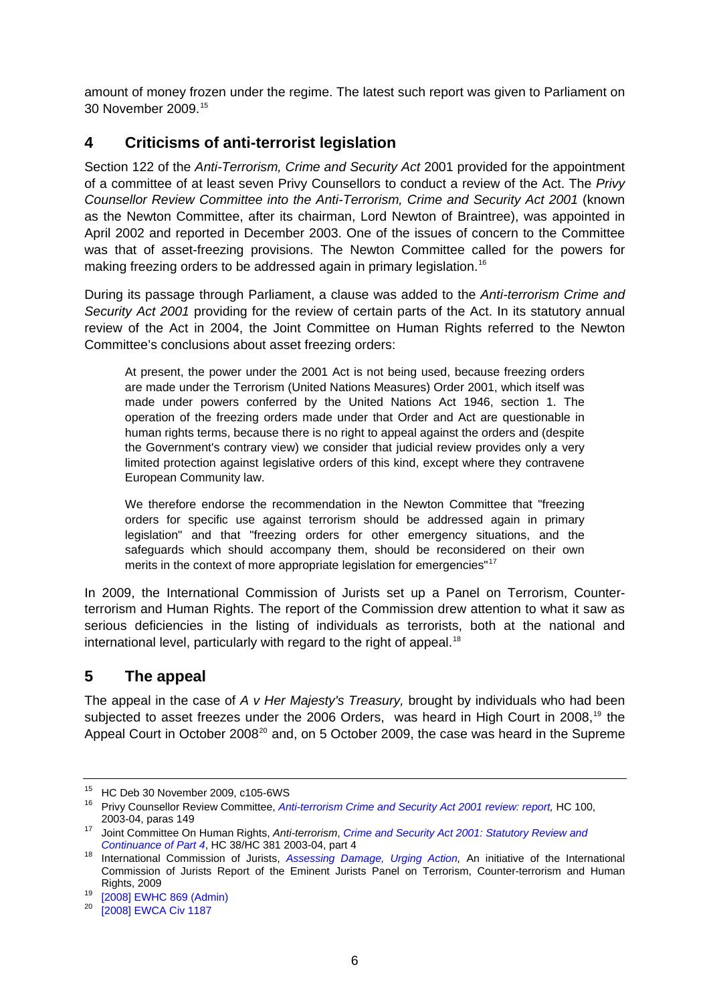<span id="page-5-0"></span>amount of money frozen under the regime. The latest such report was given to Parliament on 30 November 2009.[15](#page-5-1)

## **4 Criticisms of anti-terrorist legislation**

Section 122 of the *Anti-Terrorism, Crime and Security Act* 2001 provided for the appointment of a committee of at least seven Privy Counsellors to conduct a review of the Act. The *Privy Counsellor Review Committee into the Anti-Terrorism, Crime and Security Act 2001* (known as the Newton Committee, after its chairman, Lord Newton of Braintree), was appointed in April 2002 and reported in December 2003. One of the issues of concern to the Committee was that of asset-freezing provisions. The Newton Committee called for the powers for making freezing orders to be addressed again in primary legislation.<sup>[16](#page-5-2)</sup>

During its passage through Parliament, a clause was added to the *Anti-terrorism Crime and Security Act 2001* providing for the review of certain parts of the Act. In its statutory annual review of the Act in 2004, the Joint Committee on Human Rights referred to the Newton Committee's conclusions about asset freezing orders:

At present, the power under the 2001 Act is not being used, because freezing orders are made under the Terrorism (United Nations Measures) Order 2001, which itself was made under powers conferred by the United Nations Act 1946, section 1. The operation of the freezing orders made under that Order and Act are questionable in human rights terms, because there is no right to appeal against the orders and (despite the Government's contrary view) we consider that judicial review provides only a very limited protection against legislative orders of this kind, except where they contravene European Community law.

We therefore endorse the recommendation in the Newton Committee that "freezing orders for specific use against terrorism should be addressed again in primary legislation" and that "freezing orders for other emergency situations, and the safeguards which should accompany them, should be reconsidered on their own merits in the context of more appropriate legislation for emergencies"<sup>[17](#page-5-3)</sup>

In 2009, the International Commission of Jurists set up a Panel on Terrorism, Counterterrorism and Human Rights. The report of the Commission drew attention to what it saw as serious deficiencies in the listing of individuals as terrorists, both at the national and international level, particularly with regard to the right of appeal.<sup>[18](#page-5-4)</sup>

## **5 The appeal**

The appeal in the case of *A v Her Majesty's Treasury,* brought by individuals who had been subjected to asset freezes under the 2006 Orders, was heard in High Court in 2008,<sup>[19](#page-5-5)</sup> the Appeal Court in October [20](#page-5-6)08<sup>20</sup> and, on 5 October 2009, the case was heard in the Supreme

<span id="page-5-1"></span><sup>15</sup> HC Deb 30 November 2009, c105-6WS

<span id="page-5-2"></span><sup>16</sup> Privy Counsellor Review Committee, *[Anti-terrorism Crime and Security Act 2001 review: report,](http://www.statewatch.org/news/2003/dec/atcsReport.pdf)* HC 100,

<sup>2003-04,</sup> paras 149 17 Joint Committee On Human Rights, *Anti-terrorism*, *[Crime and Security Act 2001: Statutory Review and](http://www.publications.parliament.uk/pa/jt200304/jtselect/jtrights/38/3802.htm)* 

<span id="page-5-4"></span><span id="page-5-3"></span>*Continuance of Part 4*, HC 38/HC 381 2003-04, part 4 18 International Commission of Jurists, *[Assessing Damage, Urging Action](http://ejp.icj.org/IMG/EJP-Report.pdf),* An initiative of the International Commission of Jurists Report of the Eminent Jurists Panel on Terrorism, Counter-terrorism and Human

<span id="page-5-5"></span>Rights, 2009<br><sup>19</sup> [\[2008\] EWHC 869 \(Admin\)](http://www.bailii.org/ew/cases/EWHC/Admin/2008/869.html)<br><sup>20</sup> [2008] EWG A Giv 4497

<span id="page-5-6"></span>[<sup>\[2008\]</sup> EWCA Civ 1187](http://www.bailii.org/ew/cases/EWCA/Civ/2008/1187.html)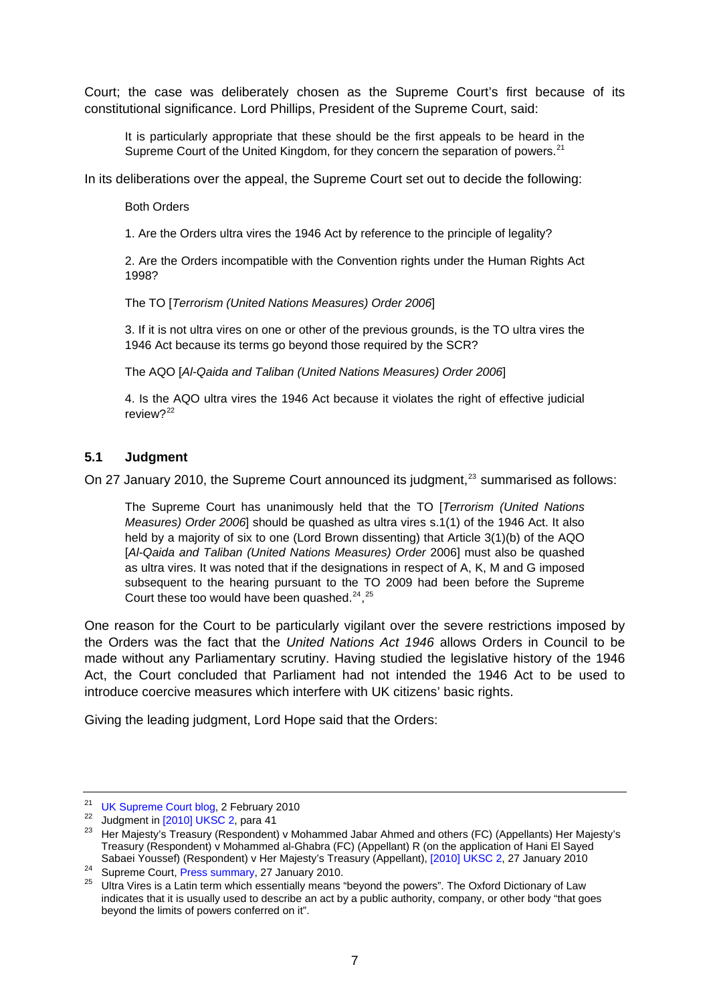<span id="page-6-0"></span>Court; the case was deliberately chosen as the Supreme Court's first because of its constitutional significance. Lord Phillips, President of the Supreme Court, said:

It is particularly appropriate that these should be the first appeals to be heard in the Supreme Court of the United Kingdom, for they concern the separation of powers. $^{21}$  $^{21}$  $^{21}$ 

In its deliberations over the appeal, the Supreme Court set out to decide the following:

Both Orders

1. Are the Orders ultra vires the 1946 Act by reference to the principle of legality?

2. Are the Orders incompatible with the Convention rights under the Human Rights Act 1998?

The TO [*Terrorism (United Nations Measures) Order 2006*]

3. If it is not ultra vires on one or other of the previous grounds, is the TO ultra vires the 1946 Act because its terms go beyond those required by the SCR?

The AQO [*Al-Qaida and Taliban (United Nations Measures) Order 2006*]

4. Is the AQO ultra vires the 1946 Act because it violates the right of effective judicial review? $22$ 

#### **5.1 Judgment**

On 27 January 2010, the Supreme Court announced its judgment,<sup>[23](#page-6-3)</sup> summarised as follows:

The Supreme Court has unanimously held that the TO [*Terrorism (United Nations Measures) Order 2006*] should be quashed as ultra vires s.1(1) of the 1946 Act. It also held by a majority of six to one (Lord Brown dissenting) that Article 3(1)(b) of the AQO [*Al-Qaida and Taliban (United Nations Measures) Order* 2006] must also be quashed as ultra vires. It was noted that if the designations in respect of A, K, M and G imposed subsequent to the hearing pursuant to the TO 2009 had been before the Supreme Court these too would have been quashed. $24,25$  $24,25$  $24,25$ 

One reason for the Court to be particularly vigilant over the severe restrictions imposed by the Orders was the fact that the *United Nations Act 1946* allows Orders in Council to be made without any Parliamentary scrutiny. Having studied the legislative history of the 1946 Act, the Court concluded that Parliament had not intended the 1946 Act to be used to introduce coercive measures which interfere with UK citizens' basic rights.

Giving the leading judgment, Lord Hope said that the Orders:

<span id="page-6-3"></span><span id="page-6-2"></span>

<span id="page-6-1"></span><sup>&</sup>lt;sup>21</sup> [UK Supreme Court blog,](http://www.ukscblog.net/) 2 February 2010<br><sup>22</sup> Judgment in [\[2010\] UKSC 2,](http://www.supremecourt.gov.uk/docs/uksc_2009_0016_judgment.pdf) para 41<br><sup>23</sup> Her Majesty's Treasury (Respondent) v Mohammed Jabar Ahmed and others (FC) (Appellants) Her Majesty's Treasury (Respondent) v Mohammed al-Ghabra (FC) (Appellant) R (on the application of Hani El Sayed

<span id="page-6-5"></span><span id="page-6-4"></span>

Sabaei Youssef) (Respondent) v Her Majesty's Treasury (Appellant), [\[2010\] UKSC 2](http://www.supremecourt.gov.uk/docs/uksc_2009_0016_judgment.pdf), 27 January 2010<br><sup>24</sup> Supreme Court, [Press summary,](http://www.supremecourt.gov.uk/decided-cases/docs/UKSC_2009_0016_PressSummary.pdf) 27 January 2010.<br><sup>25</sup> Ultra Vires is a Latin term which essentially means "beyond the pow indicates that it is usually used to describe an act by a public authority, company, or other body "that goes beyond the limits of powers conferred on it".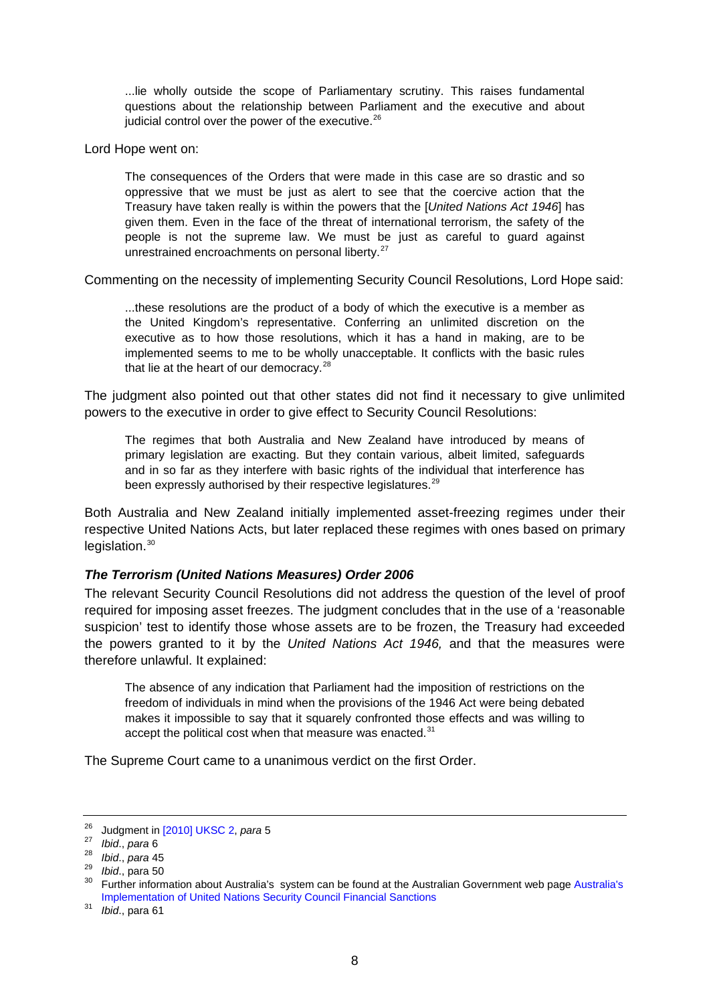<span id="page-7-0"></span>...lie wholly outside the scope of Parliamentary scrutiny. This raises fundamental questions about the relationship between Parliament and the executive and about judicial control over the power of the executive. $26$ 

Lord Hope went on:

The consequences of the Orders that were made in this case are so drastic and so oppressive that we must be just as alert to see that the coercive action that the Treasury have taken really is within the powers that the [*United Nations Act 1946*] has given them. Even in the face of the threat of international terrorism, the safety of the people is not the supreme law. We must be just as careful to guard against unrestrained encroachments on personal liberty.<sup>[27](#page-7-2)</sup>

Commenting on the necessity of implementing Security Council Resolutions, Lord Hope said:

...these resolutions are the product of a body of which the executive is a member as the United Kingdom's representative. Conferring an unlimited discretion on the executive as to how those resolutions, which it has a hand in making, are to be implemented seems to me to be wholly unacceptable. It conflicts with the basic rules that lie at the heart of our democracy. $28$ 

The judgment also pointed out that other states did not find it necessary to give unlimited powers to the executive in order to give effect to Security Council Resolutions:

The regimes that both Australia and New Zealand have introduced by means of primary legislation are exacting. But they contain various, albeit limited, safeguards and in so far as they interfere with basic rights of the individual that interference has been expressly authorised by their respective legislatures.<sup>[29](#page-7-4)</sup>

Both Australia and New Zealand initially implemented asset-freezing regimes under their respective United Nations Acts, but later replaced these regimes with ones based on primary  $leq$ islation. $30$ 

#### *The Terrorism (United Nations Measures) Order 2006*

The relevant Security Council Resolutions did not address the question of the level of proof required for imposing asset freezes. The judgment concludes that in the use of a 'reasonable suspicion' test to identify those whose assets are to be frozen, the Treasury had exceeded the powers granted to it by the *United Nations Act 1946,* and that the measures were therefore unlawful. It explained:

The absence of any indication that Parliament had the imposition of restrictions on the freedom of individuals in mind when the provisions of the 1946 Act were being debated makes it impossible to say that it squarely confronted those effects and was willing to accept the political cost when that measure was enacted. $31$ 

The Supreme Court came to a unanimous verdict on the first Order.

<span id="page-7-3"></span>

<span id="page-7-5"></span><span id="page-7-4"></span>

<span id="page-7-2"></span><span id="page-7-1"></span><sup>&</sup>lt;sup>26</sup> Judgment in [\[2010\] UKSC 2,](http://www.supremecourt.gov.uk/docs/uksc_2009_0016_judgment.pdf) *para* 5<br>
<sup>27</sup> Ibid., *para* 6<br> *bid.*, *para* 45<br> *bid.*, para 50<br> *bid.*, para 50<br>
<sup>29</sup> Ibid., para 50<br>
<sup>30</sup> Further information about [Australia's](http://www.dfat.gov.au/icat/UNSC_financial_sanctions.html) system can be found at the Australian Go [Implementation of United Nations Security Council Financial Sanctions](http://www.dfat.gov.au/icat/UNSC_financial_sanctions.html)

<span id="page-7-6"></span><sup>31</sup> *Ibid*., para 61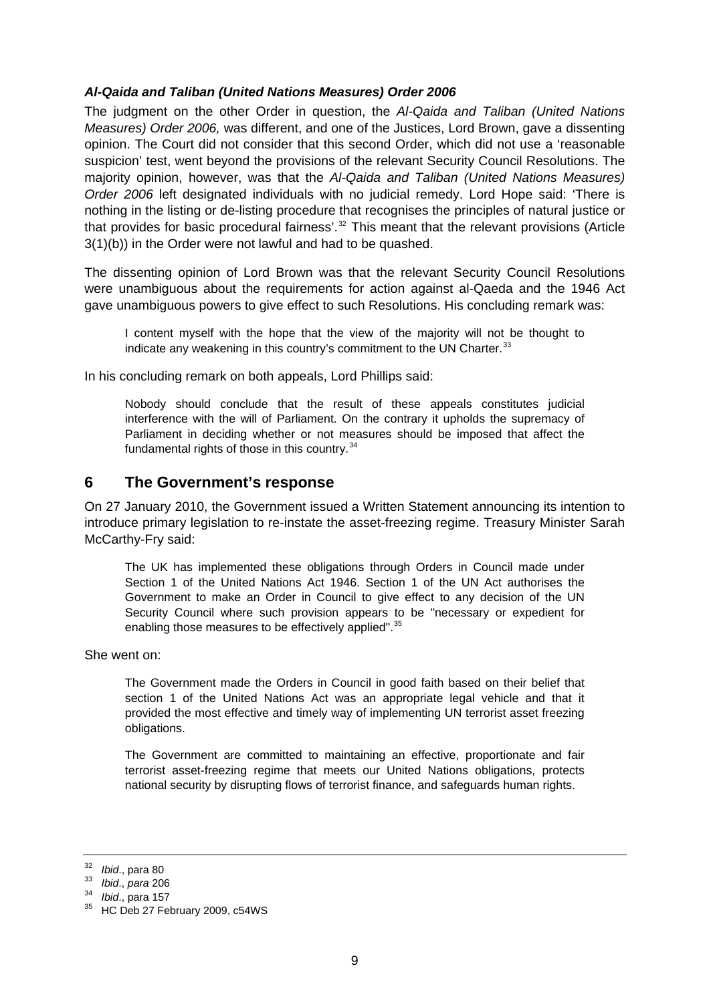#### <span id="page-8-0"></span>*Al-Qaida and Taliban (United Nations Measures) Order 2006*

The judgment on the other Order in question, the *Al-Qaida and Taliban (United Nations Measures) Order 2006,* was different, and one of the Justices, Lord Brown, gave a dissenting opinion. The Court did not consider that this second Order, which did not use a 'reasonable suspicion' test, went beyond the provisions of the relevant Security Council Resolutions. The majority opinion, however, was that the *Al-Qaida and Taliban (United Nations Measures) Order 2006* left designated individuals with no judicial remedy. Lord Hope said: 'There is nothing in the listing or de-listing procedure that recognises the principles of natural justice or that provides for basic procedural fairness'.<sup>[32](#page-8-1)</sup> This meant that the relevant provisions (Article 3(1)(b)) in the Order were not lawful and had to be quashed.

The dissenting opinion of Lord Brown was that the relevant Security Council Resolutions were unambiguous about the requirements for action against al-Qaeda and the 1946 Act gave unambiguous powers to give effect to such Resolutions. His concluding remark was:

I content myself with the hope that the view of the majority will not be thought to indicate any weakening in this country's commitment to the UN Charter. $33$ 

In his concluding remark on both appeals, Lord Phillips said:

Nobody should conclude that the result of these appeals constitutes judicial interference with the will of Parliament. On the contrary it upholds the supremacy of Parliament in deciding whether or not measures should be imposed that affect the fundamental rights of those in this country. $34$ 

#### **6 The Government's response**

On 27 January 2010, the Government issued a Written Statement announcing its intention to introduce primary legislation to re-instate the asset-freezing regime. Treasury Minister Sarah McCarthy-Fry said:

The UK has implemented these obligations through Orders in Council made under Section 1 of the United Nations Act 1946. Section 1 of the UN Act authorises the Government to make an Order in Council to give effect to any decision of the UN Security Council where such provision appears to be "necessary or expedient for enabling those measures to be effectively applied".<sup>[35](#page-8-4)</sup>

She went on:

The Government made the Orders in Council in good faith based on their belief that section 1 of the United Nations Act was an appropriate legal vehicle and that it provided the most effective and timely way of implementing UN terrorist asset freezing obligations.

The Government are committed to maintaining an effective, proportionate and fair terrorist asset-freezing regime that meets our United Nations obligations, protects national security by disrupting flows of terrorist finance, and safeguards human rights.

<span id="page-8-2"></span>

<span id="page-8-4"></span><span id="page-8-3"></span>

<span id="page-8-1"></span><sup>32</sup>*Ibid*., para 80 33 *Ibid*., *para* 206 34 *Ibid*., para 157 35 HC Deb 27 February 2009, c54WS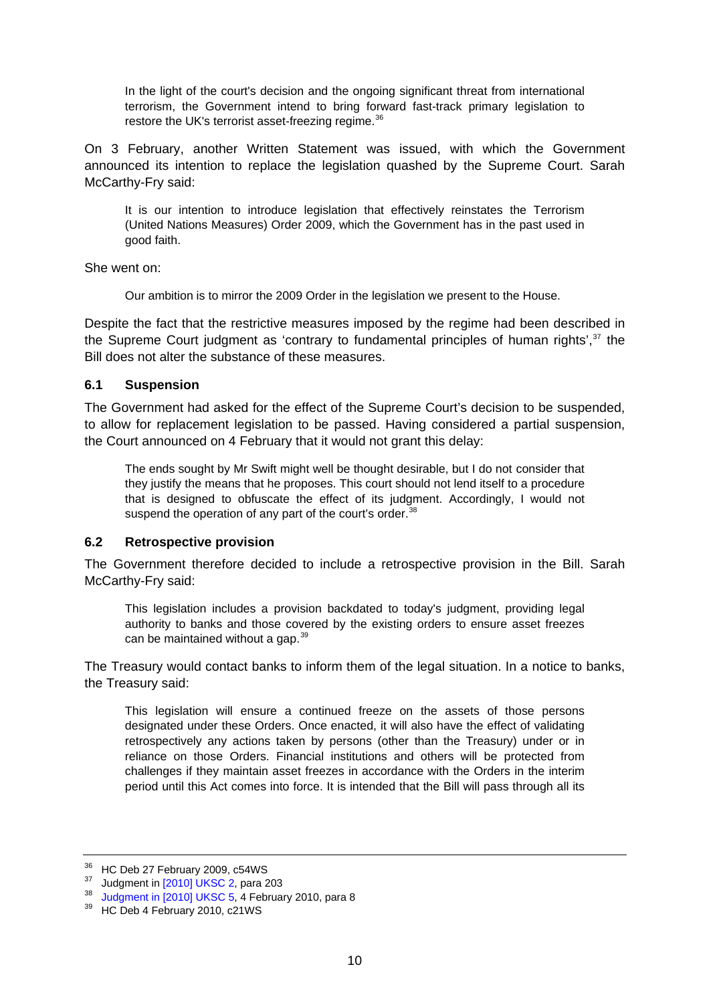<span id="page-9-0"></span>In the light of the court's decision and the ongoing significant threat from international terrorism, the Government intend to bring forward fast-track primary legislation to restore the UK's terrorist asset-freezing regime.<sup>[36](#page-9-1)</sup>

On 3 February, another Written Statement was issued, with which the Government announced its intention to replace the legislation quashed by the Supreme Court. Sarah McCarthy-Fry said:

It is our intention to introduce legislation that effectively reinstates the Terrorism (United Nations Measures) Order 2009, which the Government has in the past used in good faith.

She went on:

Our ambition is to mirror the 2009 Order in the legislation we present to the House.

Despite the fact that the restrictive measures imposed by the regime had been described in the Supreme Court judgment as 'contrary to fundamental principles of human rights',<sup>[37](#page-9-2)</sup> the Bill does not alter the substance of these measures.

#### **6.1 Suspension**

The Government had asked for the effect of the Supreme Court's decision to be suspended, to allow for replacement legislation to be passed. Having considered a partial suspension, the Court announced on 4 February that it would not grant this delay:

The ends sought by Mr Swift might well be thought desirable, but I do not consider that they justify the means that he proposes. This court should not lend itself to a procedure that is designed to obfuscate the effect of its judgment. Accordingly, I would not suspend the operation of any part of the court's order.<sup>[38](#page-9-3)</sup>

#### **6.2 Retrospective provision**

The Government therefore decided to include a retrospective provision in the Bill. Sarah McCarthy-Fry said:

This legislation includes a provision backdated to today's judgment, providing legal authority to banks and those covered by the existing orders to ensure asset freezes can be maintained without a gap.<sup>[39](#page-9-4)</sup>

The Treasury would contact banks to inform them of the legal situation. In a notice to banks, the Treasury said:

This legislation will ensure a continued freeze on the assets of those persons designated under these Orders. Once enacted, it will also have the effect of validating retrospectively any actions taken by persons (other than the Treasury) under or in reliance on those Orders. Financial institutions and others will be protected from challenges if they maintain asset freezes in accordance with the Orders in the interim period until this Act comes into force. It is intended that the Bill will pass through all its

<span id="page-9-1"></span> $36$  HC Deb 27 February 2009, c54WS<br> $37$  Judament in [2010] UKSC 2, para 203

<span id="page-9-3"></span><span id="page-9-2"></span> $38$  [Judgment in \[2010\] UKSC 5,](http://www.supremecourt.gov.uk/docs/uksc_2009_0016_judgment2V2.pdf) 4 February 2010, para 8<br> $39$  HC Deb 4 February 2010, c21WS

<span id="page-9-4"></span>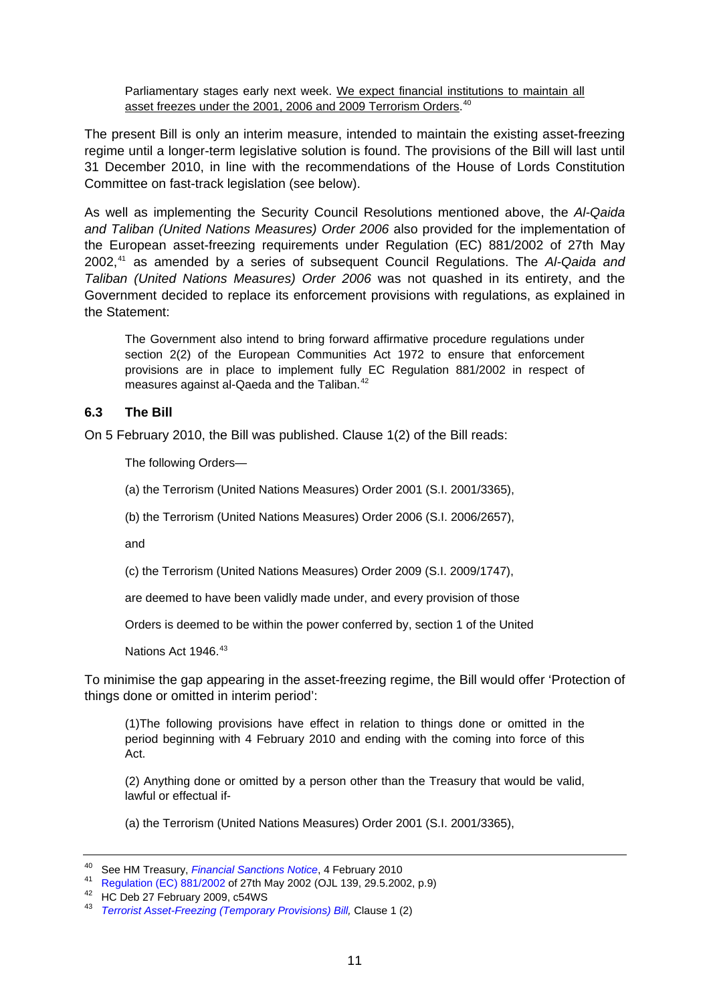<span id="page-10-0"></span>Parliamentary stages early next week. We expect financial institutions to maintain all asset freezes under the 2001, 2006 and 2009 Terrorism Orders.<sup>[40](#page-10-1)</sup>

The present Bill is only an interim measure, intended to maintain the existing asset-freezing regime until a longer-term legislative solution is found. The provisions of the Bill will last until 31 December 2010, in line with the recommendations of the House of Lords Constitution Committee on fast-track legislation (see below).

As well as implementing the Security Council Resolutions mentioned above, the *Al-Qaida and Taliban (United Nations Measures) Order 2006* also provided for the implementation of the European asset-freezing requirements under Regulation (EC) 881/2002 of 27th May 2002,[41](#page-10-2) as amended by a series of subsequent Council Regulations. The *Al-Qaida and Taliban (United Nations Measures) Order 2006* was not quashed in its entirety, and the Government decided to replace its enforcement provisions with regulations, as explained in the Statement:

The Government also intend to bring forward affirmative procedure regulations under section 2(2) of the European Communities Act 1972 to ensure that enforcement provisions are in place to implement fully EC Regulation 881/2002 in respect of measures against al-Qaeda and the Taliban.<sup>[42](#page-10-3)</sup>

#### **6.3 The Bill**

On 5 February 2010, the Bill was published. Clause 1(2) of the Bill reads:

The following Orders—

(a) the Terrorism (United Nations Measures) Order 2001 (S.I. 2001/3365),

(b) the Terrorism (United Nations Measures) Order 2006 (S.I. 2006/2657),

and

(c) the Terrorism (United Nations Measures) Order 2009 (S.I. 2009/1747),

are deemed to have been validly made under, and every provision of those

Orders is deemed to be within the power conferred by, section 1 of the United

Nations Act 1946.<sup>[43](#page-10-4)</sup>

To minimise the gap appearing in the asset-freezing regime, the Bill would offer 'Protection of things done or omitted in interim period':

(1)The following provisions have effect in relation to things done or omitted in the period beginning with 4 February 2010 and ending with the coming into force of this Act.

(2) Anything done or omitted by a person other than the Treasury that would be valid, lawful or effectual if-

(a) the Terrorism (United Nations Measures) Order 2001 (S.I. 2001/3365),

<span id="page-10-2"></span><span id="page-10-1"></span><sup>40</sup> See HM Treasury[,](http://www.hm-treasury.gov.uk/d/supremecourt_stayjudgement040210.pdf) *Financial Sanctions Notice*, 4 February 2010<br><sup>41</sup> [Regulation \(EC\) 881/2002](http://eur-lex.europa.eu/LexUriServ/LexUriServ.do?uri=OJ:L:2002:139:0009:0022:EN:PDF) of 27th May 2002 (OJL 139, 29.5.2002, p.9)<br><sup>42</sup> HC Deb 27 February 2009, c54WS

<span id="page-10-4"></span><span id="page-10-3"></span><sup>43</sup> *[Terrorist Asset-Freezing \(Temporary Provisions\) Bill](http://www.hm-treasury.gov.uk/d/finsanc_assetfreezingbill_tempprovisions_050210.pdf),* Clause 1 (2)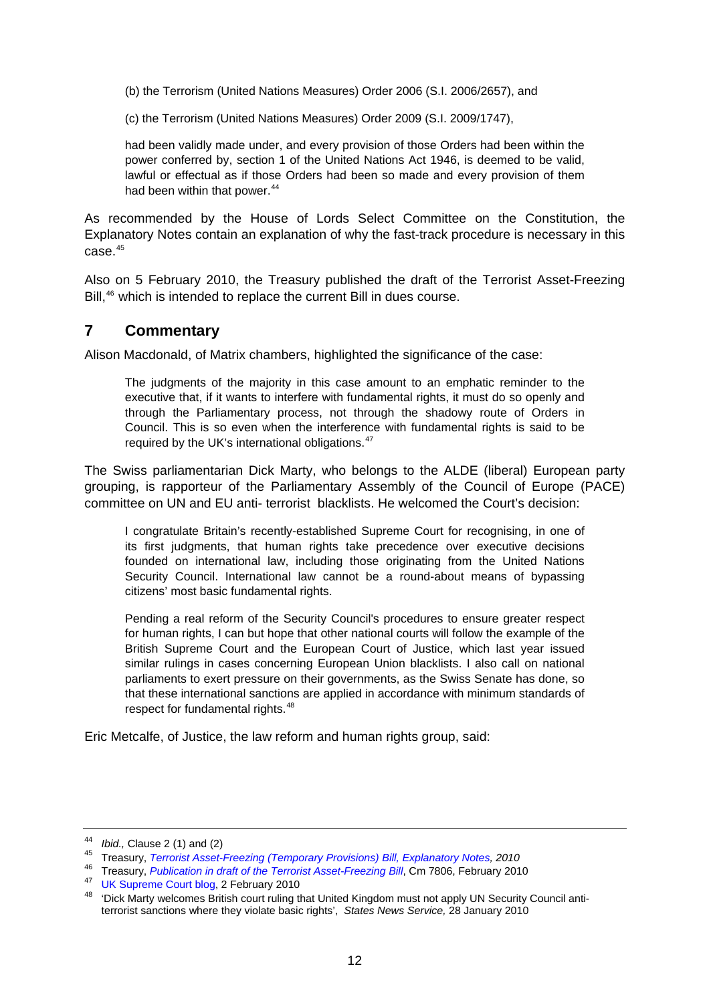<span id="page-11-0"></span>(b) the Terrorism (United Nations Measures) Order 2006 (S.I. 2006/2657), and

(c) the Terrorism (United Nations Measures) Order 2009 (S.I. 2009/1747),

had been validly made under, and every provision of those Orders had been within the power conferred by, section 1 of the United Nations Act 1946, is deemed to be valid, lawful or effectual as if those Orders had been so made and every provision of them had been within that power.<sup>[44](#page-11-1)</sup>

As recommended by the House of Lords Select Committee on the Constitution, the Explanatory Notes contain an explanation of why the fast-track procedure is necessary in this case.<sup>[45](#page-11-2)</sup>

Also on 5 February 2010, the Treasury published the draft of the Terrorist Asset-Freezing Bill,<sup>[46](#page-11-3)</sup> which is intended to replace the current Bill in dues course.

### **7 Commentary**

Alison Macdonald, of Matrix chambers, highlighted the significance of the case:

The judgments of the majority in this case amount to an emphatic reminder to the executive that, if it wants to interfere with fundamental rights, it must do so openly and through the Parliamentary process, not through the shadowy route of Orders in Council. This is so even when the interference with fundamental rights is said to be required by the UK's international obligations.<sup>[47](#page-11-4)</sup>

The Swiss parliamentarian Dick Marty, who belongs to the ALDE (liberal) European party grouping, is rapporteur of the Parliamentary Assembly of the Council of Europe (PACE) committee on UN and EU anti- terrorist blacklists. He welcomed the Court's decision:

I congratulate Britain's recently-established Supreme Court for recognising, in one of its first judgments, that human rights take precedence over executive decisions founded on international law, including those originating from the United Nations Security Council. International law cannot be a round-about means of bypassing citizens' most basic fundamental rights.

Pending a real reform of the Security Council's procedures to ensure greater respect for human rights, I can but hope that other national courts will follow the example of the British Supreme Court and the European Court of Justice, which last year issued similar rulings in cases concerning European Union blacklists. I also call on national parliaments to exert pressure on their governments, as the Swiss Senate has done, so that these international sanctions are applied in accordance with minimum standards of respect for fundamental rights.<sup>[48](#page-11-5)</sup>

Eric Metcalfe, of Justice, the law reform and human rights group, said:

<span id="page-11-2"></span><span id="page-11-1"></span><sup>44</sup>*Ibid.,* Clause 2 (1) and (2) 45 Treasury, *[Terrorist Asset-Freezing \(Temporary Provisions\) Bill, Explanatory Notes](http://www.hm-treasury.gov.uk/d/finsanc_assetfreezingbill_temp_explannotes.pdf), 2010*

<span id="page-11-5"></span><span id="page-11-4"></span><span id="page-11-3"></span><sup>&</sup>lt;sup>47</sup> [UK Supreme Court blog,](http://www.ukscblog.net/) 2 February 2010<br><sup>48</sup> 'Dick Marty welcomes British court ruling that United Kingdom must not apply UN Security Council antiterrorist sanctions where they violate basic rights', *States News Service,* 28 January 2010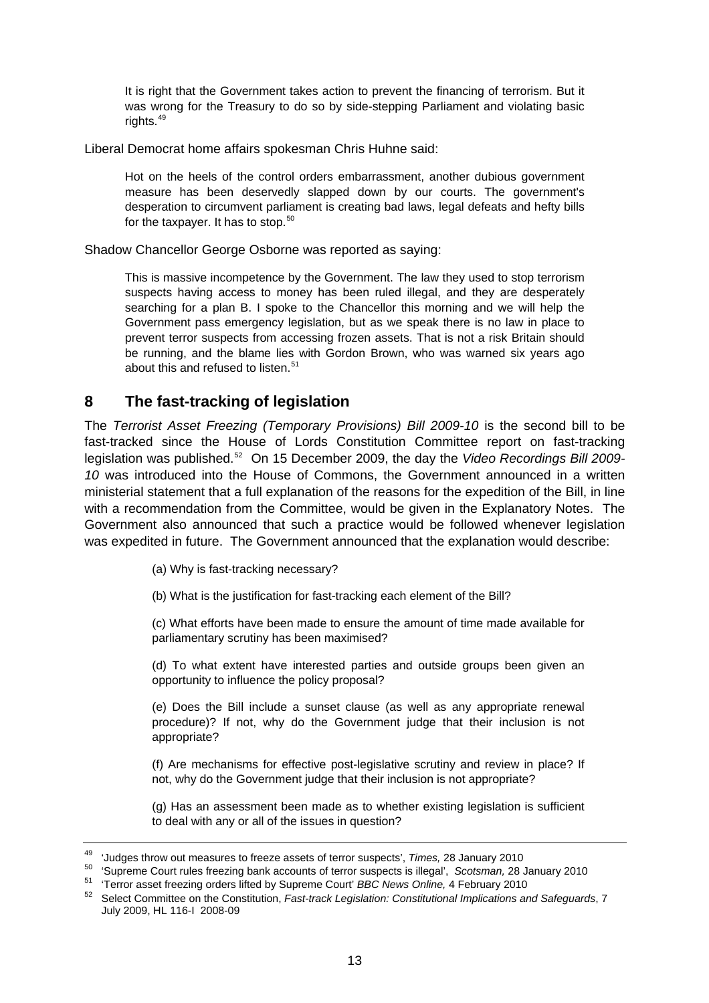<span id="page-12-0"></span>It is right that the Government takes action to prevent the financing of terrorism. But it was wrong for the Treasury to do so by side-stepping Parliament and violating basic rights.<sup>[49](#page-12-1)</sup>

Liberal Democrat home affairs spokesman Chris Huhne said:

Hot on the heels of the control orders embarrassment, another dubious government measure has been deservedly slapped down by our courts. The government's desperation to circumvent parliament is creating bad laws, legal defeats and hefty bills for the taxpayer. It has to stop.<sup>[50](#page-12-2)</sup>

Shadow Chancellor George Osborne was reported as saying:

This is massive incompetence by the Government. The law they used to stop terrorism suspects having access to money has been ruled illegal, and they are desperately searching for a plan B. I spoke to the Chancellor this morning and we will help the Government pass emergency legislation, but as we speak there is no law in place to prevent terror suspects from accessing frozen assets. That is not a risk Britain should be running, and the blame lies with Gordon Brown, who was warned six years ago about this and refused to listen.<sup>[51](#page-12-3)</sup>

### **8 The fast-tracking of legislation**

The *Terrorist Asset Freezing (Temporary Provisions) Bill 2009-10* is the second bill to be fast-tracked since the House of Lords Constitution Committee report on fast-tracking legislation was published.[52](#page-12-4) On 15 December 2009, the day the *Video Recordings Bill 2009- 10* was introduced into the House of Commons, the Government announced in a written ministerial statement that a full explanation of the reasons for the expedition of the Bill, in line with a recommendation from the Committee, would be given in the Explanatory Notes. The Government also announced that such a practice would be followed whenever legislation was expedited in future. The Government announced that the explanation would describe:

(a) Why is fast-tracking necessary?

(b) What is the justification for fast-tracking each element of the Bill?

(c) What efforts have been made to ensure the amount of time made available for parliamentary scrutiny has been maximised?

(d) To what extent have interested parties and outside groups been given an opportunity to influence the policy proposal?

(e) Does the Bill include a sunset clause (as well as any appropriate renewal procedure)? If not, why do the Government judge that their inclusion is not appropriate?

(f) Are mechanisms for effective post-legislative scrutiny and review in place? If not, why do the Government judge that their inclusion is not appropriate?

(g) Has an assessment been made as to whether existing legislation is sufficient to deal with any or all of the issues in question?

<span id="page-12-2"></span><span id="page-12-1"></span><sup>&</sup>lt;sup>49</sup> 'Judges throw out measures to freeze assets of terror suspects', *Times*, 28 January 2010<br><sup>50</sup> 'Supreme Court rules freezing bank accounts of terror suspects is illegal', *Scotsman*, 28 January 2010<br><sup>51</sup> 'Terror asse

<span id="page-12-3"></span>

<span id="page-12-4"></span>July 2009, HL 116-I 2008-09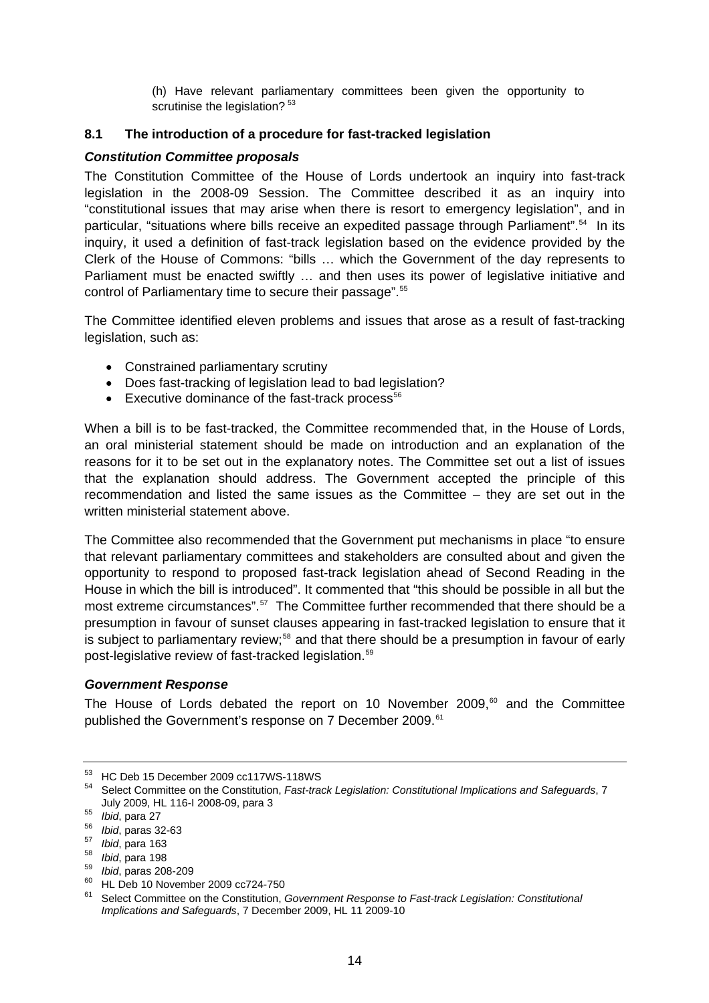(h) Have relevant parliamentary committees been given the opportunity to scrutinise the legislation?<sup>[53](#page-13-1)</sup>

#### <span id="page-13-0"></span>**8.1 The introduction of a procedure for fast-tracked legislation**

#### *Constitution Committee proposals*

The Constitution Committee of the House of Lords undertook an inquiry into fast-track legislation in the 2008-09 Session. The Committee described it as an inquiry into "constitutional issues that may arise when there is resort to emergency legislation", and in particular, "situations where bills receive an expedited passage through Parliament".<sup>[54](#page-13-2)</sup> In its inquiry, it used a definition of fast-track legislation based on the evidence provided by the Clerk of the House of Commons: "bills … which the Government of the day represents to Parliament must be enacted swiftly ... and then uses its power of legislative initiative and control of Parliamentary time to secure their passage".<sup>[55](#page-13-3)</sup>

The Committee identified eleven problems and issues that arose as a result of fast-tracking legislation, such as:

- Constrained parliamentary scrutiny
- Does fast-tracking of legislation lead to bad legislation?
- Executive dominance of the fast-track process<sup>56</sup>

When a bill is to be fast-tracked, the Committee recommended that, in the House of Lords, an oral ministerial statement should be made on introduction and an explanation of the reasons for it to be set out in the explanatory notes. The Committee set out a list of issues that the explanation should address. The Government accepted the principle of this recommendation and listed the same issues as the Committee – they are set out in the written ministerial statement above.

The Committee also recommended that the Government put mechanisms in place "to ensure that relevant parliamentary committees and stakeholders are consulted about and given the opportunity to respond to proposed fast-track legislation ahead of Second Reading in the House in which the bill is introduced". It commented that "this should be possible in all but the most extreme circumstances".<sup>[57](#page-13-5)</sup> The Committee further recommended that there should be a presumption in favour of sunset clauses appearing in fast-tracked legislation to ensure that it is subject to parliamentary review;<sup>[58](#page-13-6)</sup> and that there should be a presumption in favour of early post-legislative review of fast-tracked legislation.<sup>[59](#page-13-7)</sup>

#### *Government Response*

The House of Lords debated the report on 10 November 2009, $60$  and the Committee published the Government's response on 7 December 2009.<sup>[61](#page-13-9)</sup>

<span id="page-13-1"></span><sup>53</sup> HC Deb 15 December 2009 cc117WS-118WS

<span id="page-13-2"></span><sup>54</sup> Select Committee on the Constitution, *Fast-track Legislation: Constitutional Implications and Safeguards*, 7

<span id="page-13-5"></span>

<span id="page-13-6"></span>

<span id="page-13-8"></span><span id="page-13-7"></span>

<span id="page-13-4"></span><span id="page-13-3"></span><sup>155</sup> *Ibid*, para 27<br>
16. para 27<br>
16. para 163<br>
16. para 198<br>
16. para 208-209<br>
16. para 208-209<br>
16. para 208-209<br>
16. para 198 **HL Deb 10 November 2009 cc724-750**<br>
16. para 16. para 116. para 116. para 116. para 116. par

<span id="page-13-9"></span><sup>61</sup> Select Committee on the Constitution, *Government Response to Fast-track Legislation: Constitutional Implications and Safeguards*, 7 December 2009, HL 11 2009-10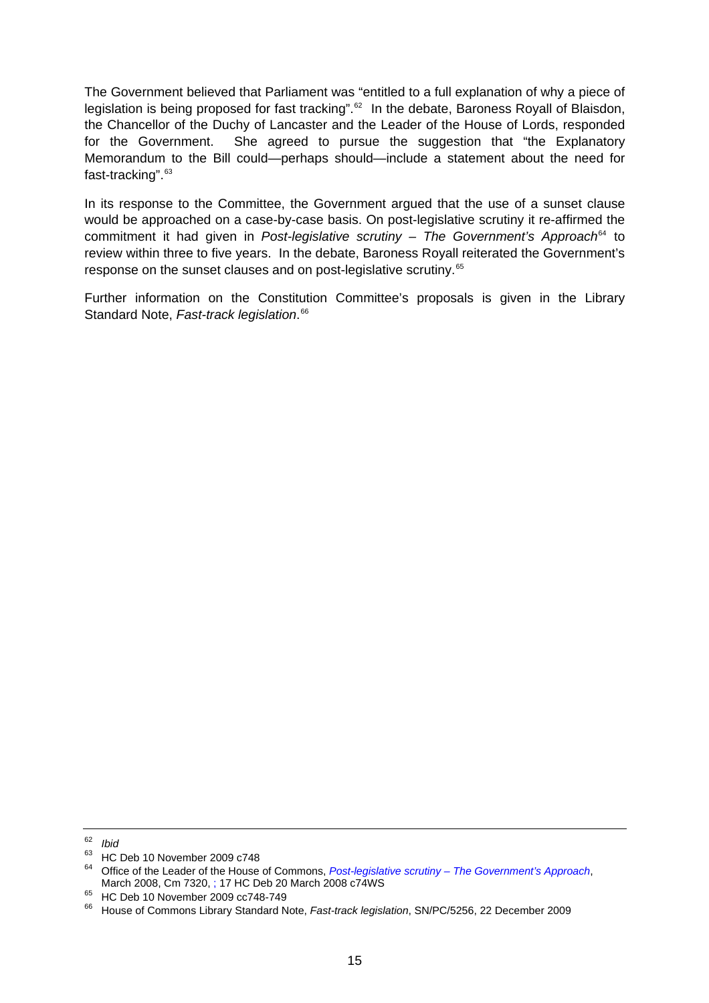The Government believed that Parliament was "entitled to a full explanation of why a piece of legislation is being proposed for fast tracking".<sup>[62](#page-14-0)</sup> In the debate, Baroness Royall of Blaisdon, the Chancellor of the Duchy of Lancaster and the Leader of the House of Lords, responded for the Government. She agreed to pursue the suggestion that "the Explanatory Memorandum to the Bill could—perhaps should—include a statement about the need for fast-tracking". [63](#page-14-1)

In its response to the Committee, the Government argued that the use of a sunset clause would be approached on a case-by-case basis. On post-legislative scrutiny it re-affirmed the commitment it had given in *Post-legislative scrutiny – The Government's Approach*<sup>[64](#page-14-2)</sup> to review within three to five years. In the debate, Baroness Royall reiterated the Government's response on the sunset clauses and on post-legislative scrutiny.<sup>[65](#page-14-3)</sup>

Further information on the Constitution Committee's proposals is given in the Library Standard Note, *Fast-track legislation*. [66](#page-14-4)

<span id="page-14-0"></span><sup>62</sup> *Ibid* 

<span id="page-14-1"></span> $^{63}$  HC Deb 10 November 2009 c748

<span id="page-14-2"></span><sup>64</sup> Office of the Leader of the House of Commons, *[Post-legislative scrutiny – The Government's Approach](http://www.official-documents.gov.uk/document/cm73/7320/7320.pdf)*, March 2008, Cm 7320, ; 17 HC Deb 20 March 2008 c74WS<br><sup>65</sup> HC Deb 10 November 2009 cc748-749

<span id="page-14-4"></span><span id="page-14-3"></span><sup>66</sup> House of Commons Library Standard Note, *Fast-track legislation*, SN/PC/5256, 22 December 2009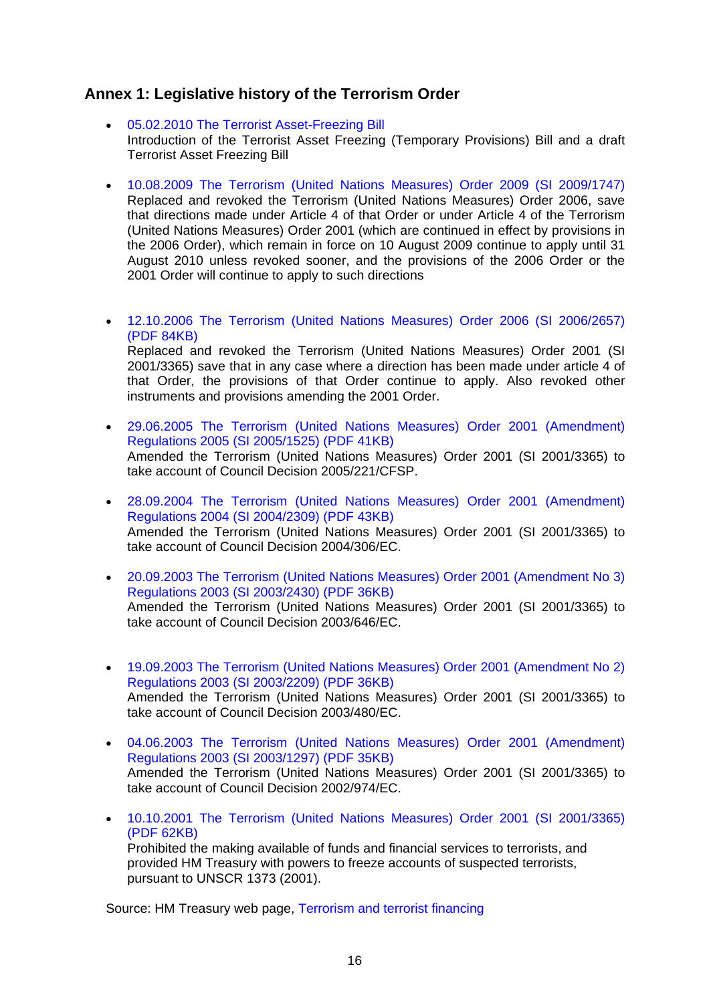## <span id="page-15-0"></span>**Annex 1: Legislative history of the Terrorism Order**

- [05.02.2010 The Terrorist Asset-Freezing Bill](http://www.hm-treasury.gov.uk/fin_sanctions_terrorist_assetfreezingbill.htm)  Introduction of the Terrorist Asset Freezing (Temporary Provisions) Bill and a draft Terrorist Asset Freezing Bill
- [10.08.2009 The Terrorism \(United Nations Measures\) Order 2009 \(SI 2009/1747\)](http://www.hm-treasury.gov.uk/d/si_1747_terrorism_order_2009_150709.pdf) Replaced and revoked the Terrorism (United Nations Measures) Order 2006, save that directions made under Article 4 of that Order or under Article 4 of the Terrorism (United Nations Measures) Order 2001 (which are continued in effect by provisions in the 2006 Order), which remain in force on 10 August 2009 continue to apply until 31 August 2010 unless revoked sooner, and the provisions of the 2006 Order or the 2001 Order will continue to apply to such directions
- [12.10.2006 The Terrorism \(United Nations Measures\) Order 2006 \(SI 2006/2657\)](http://www.hm-treasury.gov.uk/d/si_2657_terrorism_un_measures_order_2006_121006.pdf)  [\(PDF 84KB\)](http://www.hm-treasury.gov.uk/d/si_2657_terrorism_un_measures_order_2006_121006.pdf)

Replaced and revoked the Terrorism (United Nations Measures) Order 2001 (SI 2001/3365) save that in any case where a direction has been made under article 4 of that Order, the provisions of that Order continue to apply. Also revoked other instruments and provisions amending the 2001 Order.

- [29.06.2005 The Terrorism \(United Nations Measures\) Order 2001 \(Amendment\)](http://www.hm-treasury.gov.uk/d/si_1525_terrorism_un_measures_order_2001_amendment_regulations_2005_290605.pdf)  [Regulations 2005 \(SI 2005/1525\) \(PDF 41KB\)](http://www.hm-treasury.gov.uk/d/si_1525_terrorism_un_measures_order_2001_amendment_regulations_2005_290605.pdf) Amended the Terrorism (United Nations Measures) Order 2001 (SI 2001/3365) to take account of Council Decision 2005/221/CFSP.
- [28.09.2004 The Terrorism \(United Nations Measures\) Order 2001 \(Amendment\)](http://www.hm-treasury.gov.uk/d/si_2309_terrorism_un_measures_order_2001_amendment_regulations_2004_280904.pdf)  [Regulations 2004 \(SI 2004/2309\) \(PDF 43KB\)](http://www.hm-treasury.gov.uk/d/si_2309_terrorism_un_measures_order_2001_amendment_regulations_2004_280904.pdf) Amended the Terrorism (United Nations Measures) Order 2001 (SI 2001/3365) to take account of Council Decision 2004/306/EC.
- [20.09.2003 The Terrorism \(United Nations Measures\) Order 2001 \(Amendment No 3\)](http://www.hm-treasury.gov.uk/d/si_2430_terrorism_un_measures_order_2001_amendment_3_regulations_2003_200903.pdf)  [Regulations 2003 \(SI 2003/2430\) \(PDF 36KB\)](http://www.hm-treasury.gov.uk/d/si_2430_terrorism_un_measures_order_2001_amendment_3_regulations_2003_200903.pdf) Amended the Terrorism (United Nations Measures) Order 2001 (SI 2001/3365) to take account of Council Decision 2003/646/EC.
- [19.09.2003 The Terrorism \(United Nations Measures\) Order 2001 \(Amendment No 2\)](http://www.hm-treasury.gov.uk/d/si_2209_terrorism_un_measures_order_2001_amendment_2_regulations_2003_190903.pdf)  [Regulations 2003 \(SI 2003/2209\) \(PDF 36KB\)](http://www.hm-treasury.gov.uk/d/si_2209_terrorism_un_measures_order_2001_amendment_2_regulations_2003_190903.pdf) Amended the Terrorism (United Nations Measures) Order 2001 (SI 2001/3365) to take account of Council Decision 2003/480/EC.
- [04.06.2003 The Terrorism \(United Nations Measures\) Order 2001 \(Amendment\)](http://www.hm-treasury.gov.uk/d/si_1297_terrorism_un_measures_order_2001_amendment_regulations_2003_040603.pdf)  [Regulations 2003 \(SI 2003/1297\) \(PDF 35KB\)](http://www.hm-treasury.gov.uk/d/si_1297_terrorism_un_measures_order_2001_amendment_regulations_2003_040603.pdf) Amended the Terrorism (United Nations Measures) Order 2001 (SI 2001/3365) to take account of Council Decision 2002/974/EC.
- [10.10.2001 The Terrorism \(United Nations Measures\) Order 2001 \(SI 2001/3365\)](http://www.hm-treasury.gov.uk/d/si_3365_terrorism_un_measures_order_2001_101001.pdf)  [\(PDF 62KB\)](http://www.hm-treasury.gov.uk/d/si_3365_terrorism_un_measures_order_2001_101001.pdf)  Prohibited the making available of funds and financial services to terrorists, and provided HM Treasury with powers to freeze accounts of suspected terrorists, pursuant to UNSCR 1373 (2001).

Source: HM Treasury web page, [Terrorism and terrorist financing](http://www.hm-treasury.gov.uk/fin_sanctions_terrorist.htm)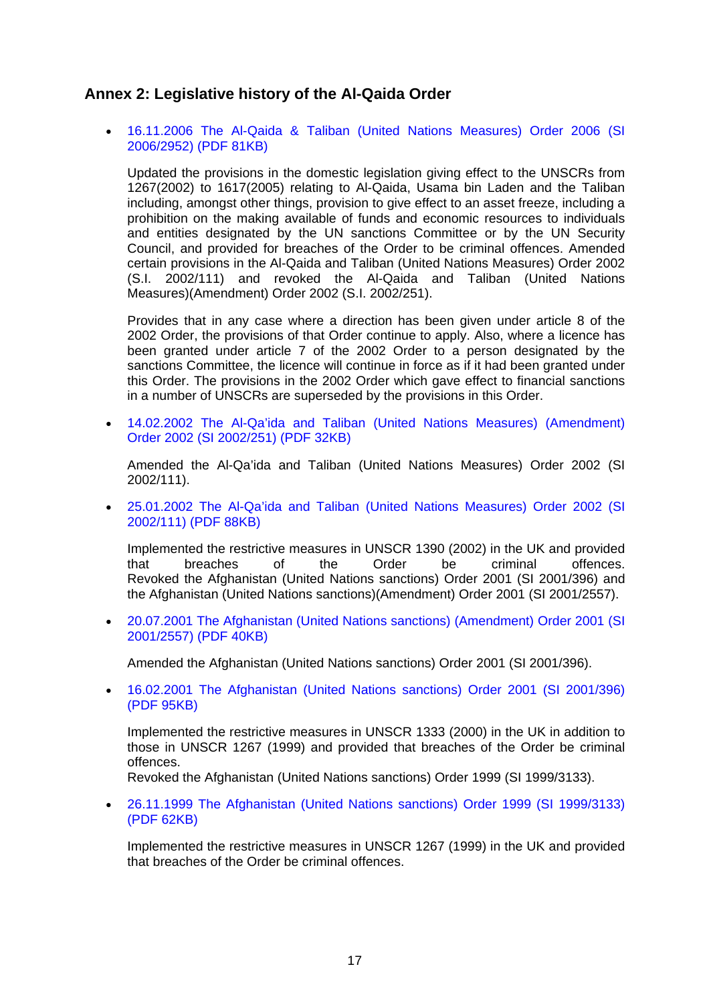## <span id="page-16-0"></span>**Annex 2: Legislative history of the Al-Qaida Order**

• [16.11.2006 The Al-Qaida & Taliban \(United Nations Measures\) Order 2006 \(SI](http://www.hm-treasury.gov.uk/d/si_2952_alqaida_and_taliban_un_measures_order_2006_161106.pdf)  [2006/2952\) \(PDF 81KB\)](http://www.hm-treasury.gov.uk/d/si_2952_alqaida_and_taliban_un_measures_order_2006_161106.pdf) 

Updated the provisions in the domestic legislation giving effect to the UNSCRs from 1267(2002) to 1617(2005) relating to Al-Qaida, Usama bin Laden and the Taliban including, amongst other things, provision to give effect to an asset freeze, including a prohibition on the making available of funds and economic resources to individuals and entities designated by the UN sanctions Committee or by the UN Security Council, and provided for breaches of the Order to be criminal offences. Amended certain provisions in the Al-Qaida and Taliban (United Nations Measures) Order 2002 (S.I. 2002/111) and revoked the Al-Qaida and Taliban (United Nations Measures)(Amendment) Order 2002 (S.I. 2002/251).

Provides that in any case where a direction has been given under article 8 of the 2002 Order, the provisions of that Order continue to apply. Also, where a licence has been granted under article 7 of the 2002 Order to a person designated by the sanctions Committee, the licence will continue in force as if it had been granted under this Order. The provisions in the 2002 Order which gave effect to financial sanctions in a number of UNSCRs are superseded by the provisions in this Order.

• [14.02.2002 The Al-Qa'ida and Taliban \(United Nations Measures\) \(Amendment\)](http://www.hm-treasury.gov.uk/d/si_251_alqaida_and_taliban_un_measuresamendment_order_2002_140202.pdf)  [Order 2002 \(SI 2002/251\) \(PDF 32KB\)](http://www.hm-treasury.gov.uk/d/si_251_alqaida_and_taliban_un_measuresamendment_order_2002_140202.pdf) 

Amended the Al-Qa'ida and Taliban (United Nations Measures) Order 2002 (SI 2002/111).

• [25.01.2002 The Al-Qa'ida and Taliban \(United Nations Measures\) Order 2002 \(SI](http://www.hm-treasury.gov.uk/d/si_111_alqaida_and_taliban_un_measures_order_2002_250102.pdf)  [2002/111\) \(PDF 88KB\)](http://www.hm-treasury.gov.uk/d/si_111_alqaida_and_taliban_un_measures_order_2002_250102.pdf) 

Implemented the restrictive measures in UNSCR 1390 (2002) in the UK and provided that breaches of the Order be criminal offences. Revoked the Afghanistan (United Nations sanctions) Order 2001 (SI 2001/396) and the Afghanistan (United Nations sanctions)(Amendment) Order 2001 (SI 2001/2557).

• [20.07.2001 The Afghanistan \(United Nations sanctions\) \(Amendment\) Order 2001 \(SI](http://www.hm-treasury.gov.uk/d/si_2557_afghanistan_un_sanctions_amendment_order_2001_200701.pdf)  [2001/2557\) \(PDF 40KB\)](http://www.hm-treasury.gov.uk/d/si_2557_afghanistan_un_sanctions_amendment_order_2001_200701.pdf) 

Amended the Afghanistan (United Nations sanctions) Order 2001 (SI 2001/396).

• [16.02.2001 The Afghanistan \(United Nations sanctions\) Order 2001 \(SI 2001/396\)](http://www.hm-treasury.gov.uk/d/si_396_afghanistan_un_sanctions_order_2001_160201.pdf)  [\(PDF 95KB\)](http://www.hm-treasury.gov.uk/d/si_396_afghanistan_un_sanctions_order_2001_160201.pdf)

Implemented the restrictive measures in UNSCR 1333 (2000) in the UK in addition to those in UNSCR 1267 (1999) and provided that breaches of the Order be criminal offences.

Revoked the Afghanistan (United Nations sanctions) Order 1999 (SI 1999/3133).

• [26.11.1999 The Afghanistan \(United Nations sanctions\) Order 1999 \(SI 1999/3133\)](http://www.hm-treasury.gov.uk/d/si_3133_afghanistan_un_sanctions_order_1999_261199.pdf)  [\(PDF 62KB\)](http://www.hm-treasury.gov.uk/d/si_3133_afghanistan_un_sanctions_order_1999_261199.pdf)

Implemented the restrictive measures in UNSCR 1267 (1999) in the UK and provided that breaches of the Order be criminal offences.